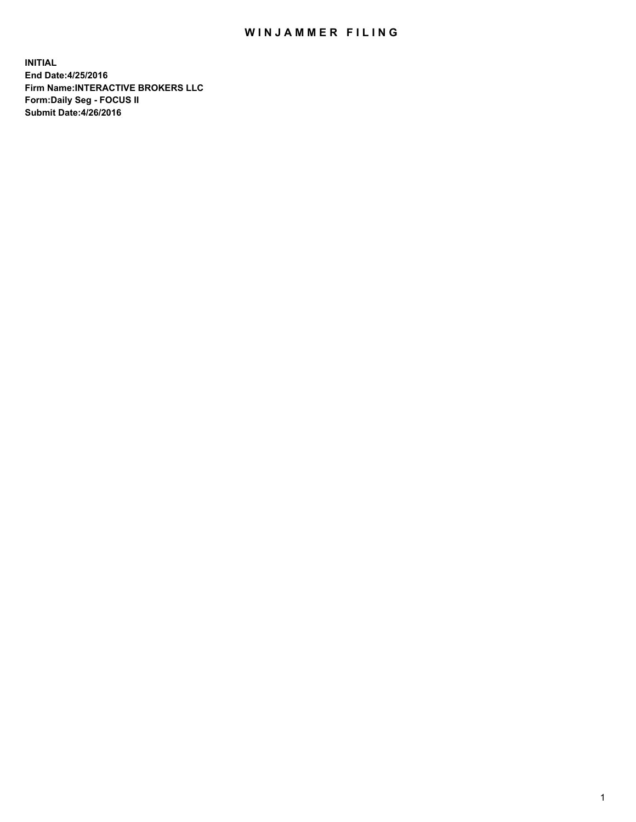## WIN JAMMER FILING

**INITIAL End Date:4/25/2016 Firm Name:INTERACTIVE BROKERS LLC Form:Daily Seg - FOCUS II Submit Date:4/26/2016**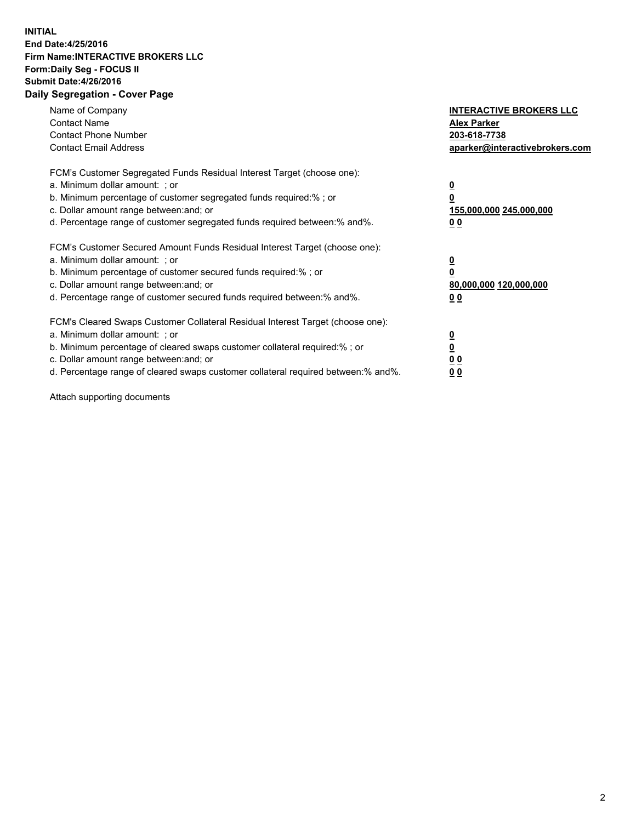## **INITIAL End Date:4/25/2016 Firm Name:INTERACTIVE BROKERS LLC Form:Daily Seg - FOCUS II Submit Date:4/26/2016 Daily Segregation - Cover Page**

| Name of Company<br><b>Contact Name</b><br><b>Contact Phone Number</b><br><b>Contact Email Address</b>                                                                                                                                                                                                                         | <b>INTERACTIVE BROKERS LLC</b><br><b>Alex Parker</b><br>203-618-7738<br>aparker@interactivebrokers.com |
|-------------------------------------------------------------------------------------------------------------------------------------------------------------------------------------------------------------------------------------------------------------------------------------------------------------------------------|--------------------------------------------------------------------------------------------------------|
| FCM's Customer Segregated Funds Residual Interest Target (choose one):<br>a. Minimum dollar amount: ; or<br>b. Minimum percentage of customer segregated funds required:% ; or<br>c. Dollar amount range between: and; or<br>d. Percentage range of customer segregated funds required between:% and%.                        | <u>0</u><br>155,000,000 245,000,000<br>0 <sub>0</sub>                                                  |
| FCM's Customer Secured Amount Funds Residual Interest Target (choose one):<br>a. Minimum dollar amount: ; or<br>b. Minimum percentage of customer secured funds required:%; or<br>c. Dollar amount range between: and; or<br>d. Percentage range of customer secured funds required between: % and %.                         | <u>0</u><br>80,000,000 120,000,000<br><u>00</u>                                                        |
| FCM's Cleared Swaps Customer Collateral Residual Interest Target (choose one):<br>a. Minimum dollar amount: ; or<br>b. Minimum percentage of cleared swaps customer collateral required:%; or<br>c. Dollar amount range between: and; or<br>d. Percentage range of cleared swaps customer collateral required between:% and%. | <u>0</u><br>0 <sub>0</sub><br>0 <sub>0</sub>                                                           |

Attach supporting documents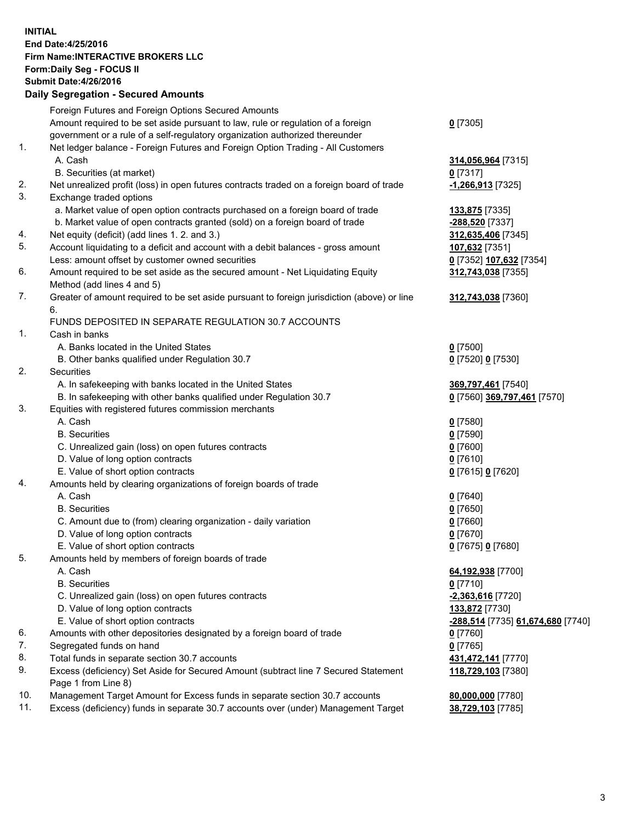## **INITIAL End Date:4/25/2016 Firm Name:INTERACTIVE BROKERS LLC Form:Daily Seg - FOCUS II Submit Date:4/26/2016 Daily Segregation - Secured Amounts**

|     | Foreign Futures and Foreign Options Secured Amounts                                         |                                   |
|-----|---------------------------------------------------------------------------------------------|-----------------------------------|
|     | Amount required to be set aside pursuant to law, rule or regulation of a foreign            | $0$ [7305]                        |
|     | government or a rule of a self-regulatory organization authorized thereunder                |                                   |
| 1.  | Net ledger balance - Foreign Futures and Foreign Option Trading - All Customers             |                                   |
|     | A. Cash                                                                                     | 314,056,964 [7315]                |
|     | B. Securities (at market)                                                                   | $0$ [7317]                        |
| 2.  | Net unrealized profit (loss) in open futures contracts traded on a foreign board of trade   | <u>-1,266,913</u> [7325]          |
| 3.  | Exchange traded options                                                                     |                                   |
|     | a. Market value of open option contracts purchased on a foreign board of trade              | 133,875 [7335]                    |
|     | b. Market value of open contracts granted (sold) on a foreign board of trade                | -288,520 [7337]                   |
| 4.  | Net equity (deficit) (add lines 1. 2. and 3.)                                               | 312,635,406 [7345]                |
| 5.  | Account liquidating to a deficit and account with a debit balances - gross amount           | 107,632 [7351]                    |
|     | Less: amount offset by customer owned securities                                            | 0 [7352] 107,632 [7354]           |
| 6.  | Amount required to be set aside as the secured amount - Net Liquidating Equity              | 312,743,038 [7355]                |
|     | Method (add lines 4 and 5)                                                                  |                                   |
| 7.  | Greater of amount required to be set aside pursuant to foreign jurisdiction (above) or line | 312,743,038 [7360]                |
|     | 6.                                                                                          |                                   |
|     | FUNDS DEPOSITED IN SEPARATE REGULATION 30.7 ACCOUNTS                                        |                                   |
| 1.  | Cash in banks                                                                               |                                   |
|     | A. Banks located in the United States                                                       | $0$ [7500]                        |
|     | B. Other banks qualified under Regulation 30.7                                              | 0 [7520] 0 [7530]                 |
| 2.  | Securities                                                                                  |                                   |
|     | A. In safekeeping with banks located in the United States                                   | 369,797,461 [7540]                |
|     | B. In safekeeping with other banks qualified under Regulation 30.7                          | 0 [7560] 369,797,461 [7570]       |
| 3.  | Equities with registered futures commission merchants                                       |                                   |
|     | A. Cash                                                                                     | $0$ [7580]                        |
|     | <b>B.</b> Securities                                                                        | $0$ [7590]                        |
|     | C. Unrealized gain (loss) on open futures contracts                                         | $0$ [7600]                        |
|     | D. Value of long option contracts                                                           | $0$ [7610]                        |
|     | E. Value of short option contracts                                                          | 0 [7615] 0 [7620]                 |
| 4.  | Amounts held by clearing organizations of foreign boards of trade                           |                                   |
|     | A. Cash                                                                                     | $0$ [7640]                        |
|     | <b>B.</b> Securities                                                                        | $0$ [7650]                        |
|     | C. Amount due to (from) clearing organization - daily variation                             | $0$ [7660]                        |
|     | D. Value of long option contracts                                                           | $0$ [7670]                        |
|     | E. Value of short option contracts                                                          | 0 [7675] 0 [7680]                 |
| 5.  | Amounts held by members of foreign boards of trade                                          |                                   |
|     | A. Cash                                                                                     | 64,192,938 [7700]                 |
|     | <b>B.</b> Securities                                                                        | $0$ [7710]                        |
|     | C. Unrealized gain (loss) on open futures contracts                                         | -2,363,616 [7720]                 |
|     | D. Value of long option contracts                                                           | 133,872 [7730]                    |
|     | E. Value of short option contracts                                                          | -288,514 [7735] 61,674,680 [7740] |
| 6.  | Amounts with other depositories designated by a foreign board of trade                      | $0$ [7760]                        |
| 7.  | Segregated funds on hand                                                                    | $0$ [7765]                        |
| 8.  | Total funds in separate section 30.7 accounts                                               | 431,472,141 [7770]                |
| 9.  | Excess (deficiency) Set Aside for Secured Amount (subtract line 7 Secured Statement         | 118,729,103 [7380]                |
|     | Page 1 from Line 8)                                                                         |                                   |
| 10. | Management Target Amount for Excess funds in separate section 30.7 accounts                 | 80,000,000 [7780]                 |
| 11. | Excess (deficiency) funds in separate 30.7 accounts over (under) Management Target          | 38,729,103 [7785]                 |
|     |                                                                                             |                                   |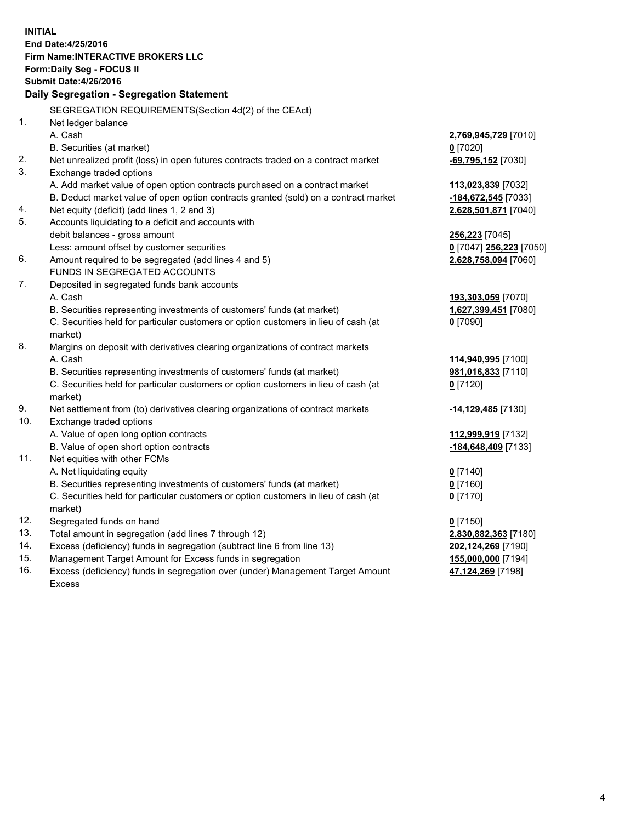**INITIAL End Date:4/25/2016 Firm Name:INTERACTIVE BROKERS LLC Form:Daily Seg - FOCUS II Submit Date:4/26/2016 Daily Segregation - Segregation Statement** SEGREGATION REQUIREMENTS(Section 4d(2) of the CEAct) 1. Net ledger balance A. Cash **2,769,945,729** [7010] B. Securities (at market) **0** [7020] 2. Net unrealized profit (loss) in open futures contracts traded on a contract market **-69,795,152** [7030] 3. Exchange traded options A. Add market value of open option contracts purchased on a contract market **113,023,839** [7032] B. Deduct market value of open option contracts granted (sold) on a contract market **-184,672,545** [7033] 4. Net equity (deficit) (add lines 1, 2 and 3) **2,628,501,871** [7040] 5. Accounts liquidating to a deficit and accounts with debit balances - gross amount **256,223** [7045] Less: amount offset by customer securities **0** [7047] **256,223** [7050] 6. Amount required to be segregated (add lines 4 and 5) **2,628,758,094** [7060] FUNDS IN SEGREGATED ACCOUNTS 7. Deposited in segregated funds bank accounts A. Cash **193,303,059** [7070] B. Securities representing investments of customers' funds (at market) **1,627,399,451** [7080] C. Securities held for particular customers or option customers in lieu of cash (at market) **0** [7090] 8. Margins on deposit with derivatives clearing organizations of contract markets A. Cash **114,940,995** [7100] B. Securities representing investments of customers' funds (at market) **981,016,833** [7110] C. Securities held for particular customers or option customers in lieu of cash (at market) **0** [7120] 9. Net settlement from (to) derivatives clearing organizations of contract markets **-14,129,485** [7130] 10. Exchange traded options A. Value of open long option contracts **112,999,919** [7132] B. Value of open short option contracts **-184,648,409** [7133] 11. Net equities with other FCMs A. Net liquidating equity **0** [7140] B. Securities representing investments of customers' funds (at market) **0** [7160] C. Securities held for particular customers or option customers in lieu of cash (at market) **0** [7170] 12. Segregated funds on hand **0** [7150] 13. Total amount in segregation (add lines 7 through 12) **2,830,882,363** [7180] 14. Excess (deficiency) funds in segregation (subtract line 6 from line 13) **202,124,269** [7190] 15. Management Target Amount for Excess funds in segregation **155,000,000** [7194] 16. Excess (deficiency) funds in segregation over (under) Management Target Amount Excess **47,124,269** [7198]